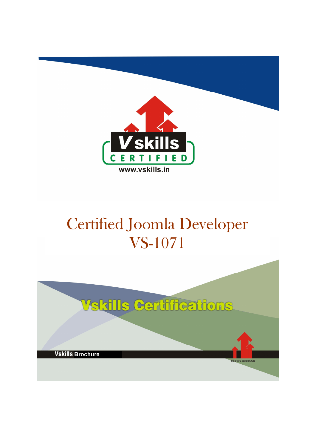

# Certified Joomla Developer VS-1071

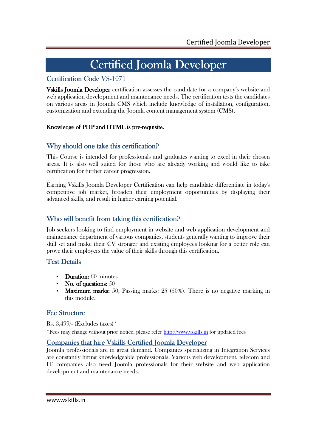## Certified Joomla Developer

### Certification Code VS-1071

Vskills Joomla Developer certification assesses the candidate for a company's website and web application development and maintenance needs. The certification tests the candidates on various areas in Joomla CMS which include knowledge of installation, configuration, customization and extending the Joomla content management system (CMS).

#### Knowledge of PHP and HTML is pre-requisite.

### Why should one take this certification?

This Course is intended for professionals and graduates wanting to excel in their chosen areas. It is also well suited for those who are already working and would like to take certification for further career progression.

Earning Vskills Joomla Developer Certification can help candidate differentiate in today's competitive job market, broaden their employment opportunities by displaying their advanced skills, and result in higher earning potential.

### Who will benefit from taking this certification?

Job seekers looking to find employment in website and web application development and maintenance department of various companies, students generally wanting to improve their skill set and make their CV stronger and existing employees looking for a better role can prove their employers the value of their skills through this certification.

### Test Details

- **Duration:** 60 minutes
- No. of questions:  $50$
- **Maximum marks:** 50, Passing marks:  $25(50\%)$ . There is no negative marking in this module.

### **Fee Structure**

Rs. 3,499/- (Excludes taxes)\*

\*Fees may change without prior notice, please refer http://www.vskills.in for updated fees

#### Companies that hire Vskills Certified Joomla Developer

Joomla professionals are in great demand. Companies specializing in Integration Services are constantly hiring knowledgeable professionals. Various web development, telecom and IT companies also need Joomla professionals for their website and web application development and maintenance needs.

www.vskills.in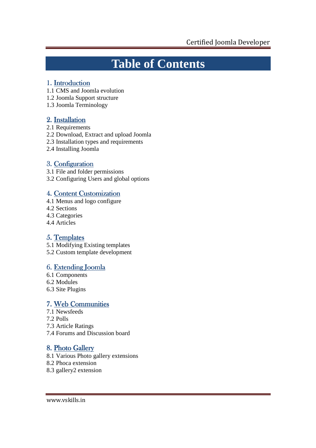## **Table of Contents**

### 1. Introduction

- 1.1 CMS and Joomla evolution
- 1.2 Joomla Support structure
- 1.3 Joomla Terminology

### 2. Installation

- 2.1 Requirements
- 2.2 Download, Extract and upload Joomla
- 2.3 Installation types and requirements
- 2.4 Installing Joomla

## 3. Configuration

- 3.1 File and folder permissions
- 3.2 Configuring Users and global options

### 4. Content Customization

- 4.1 Menus and logo configure
- 4.2 Sections
- 4.3 Categories
- 4.4 Articles

### 5. Templates

- 5.1 Modifying Existing templates
- 5.2 Custom template development

### 6. Extending Joomla

- 6.1 Components
- 6.2 Modules
- 6.3 Site Plugins

### 7. Web Communities

- 7.1 Newsfeeds
- 7.2 Polls
- 7.3 Article Ratings
- 7.4 Forums and Discussion board

## 8. Photo Gallery

- 8.1 Various Photo gallery extensions
- 8.2 Phoca extension
- 8.3 gallery2 extension

www.vskills.in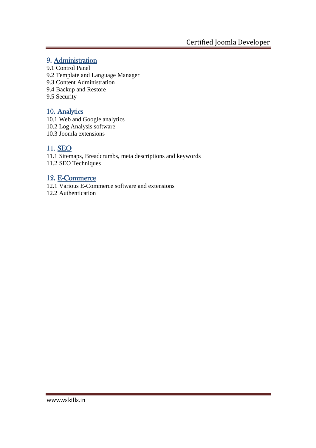### 9. Administration

- 9.1 Control Panel
- 9.2 Template and Language Manager
- 9.3 Content Administration
- 9.4 Backup and Restore
- 9.5 Security

### 10. Analytics

- 10.1 Web and Google analytics
- 10.2 Log Analysis software
- 10.3 Joomla extensions

### 11. SEO

11.1 Sitemaps, Breadcrumbs, meta descriptions and keywords 11.2 SEO Techniques

### 12. E-Commerce

12.1 Various E-Commerce software and extensions

12.2 Authentication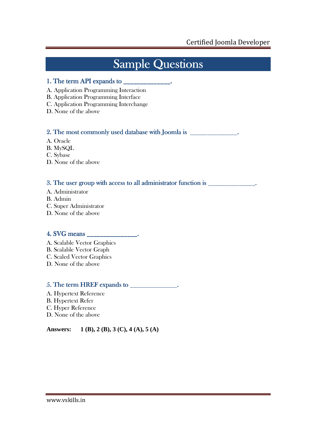# **Sample Questions**

#### 1. The term API expands to  $\frac{1}{\sqrt{2}}$

- A. Application Programming Interaction
- B. Application Programming Interface
- C. Application Programming Interchange
- D. None of the above

### 2. The most commonly used database with Joomla is  $\blacksquare$

- A. Oracle
- B. MySQL
- C. Sybase
- D. None of the above

### 3. The user group with access to all administrator function is  $\Box$

- A. Administrator
- B. Admin
- C. Super Administrator
- D. None of the above

### 4. SVG means \_\_\_\_\_\_\_\_\_\_\_\_\_\_\_. SVG means \_\_\_\_\_\_\_\_\_\_\_\_\_\_\_. means \_\_\_\_\_\_\_\_\_\_\_\_\_\_\_.

- A. Scalable Vector Graphics
- B. Scalable Vector Graph
- C. Scaled Vector Graphics
- D. None of the above

### $5.$  The term HREF expands to  $\frac{1}{\sqrt{2}}$

- A. Hypertext Reference B. Hypertext Refer
- C. Hyper Reference
- D. None of the above

**Answers: 1 (B), 2 (B), 3 (C), 4 (A), 5 (A)**